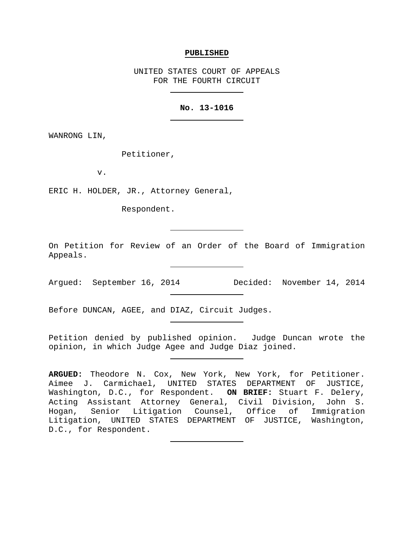#### **PUBLISHED**

UNITED STATES COURT OF APPEALS FOR THE FOURTH CIRCUIT

## **No. 13-1016**

WANRONG LIN,

Petitioner,

v.

ERIC H. HOLDER, JR., Attorney General,

Respondent.

On Petition for Review of an Order of the Board of Immigration Appeals.

Argued: September 16, 2014 Decided: November 14, 2014

Before DUNCAN, AGEE, and DIAZ, Circuit Judges.

Petition denied by published opinion. Judge Duncan wrote the opinion, in which Judge Agee and Judge Diaz joined.

**ARGUED:** Theodore N. Cox, New York, New York, for Petitioner. Aimee J. Carmichael, UNITED STATES DEPARTMENT OF JUSTICE, Washington, D.C., for Respondent. **ON BRIEF:** Stuart F. Delery, Acting Assistant Attorney General, Civil Division, John S. Hogan, Senior Litigation Counsel, Office of Immigration Litigation, UNITED STATES DEPARTMENT OF JUSTICE, Washington, D.C., for Respondent.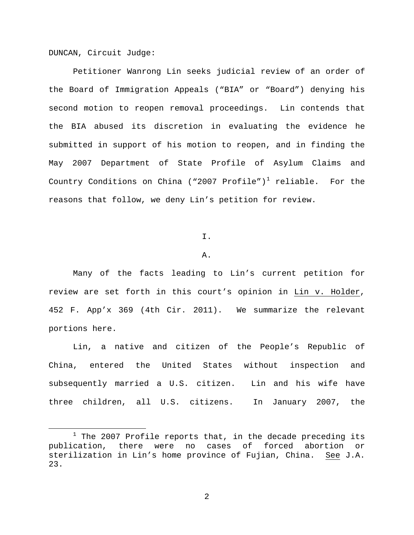DUNCAN, Circuit Judge:

 $\overline{a}$ 

Petitioner Wanrong Lin seeks judicial review of an order of the Board of Immigration Appeals ("BIA" or "Board") denying his second motion to reopen removal proceedings. Lin contends that the BIA abused its discretion in evaluating the evidence he submitted in support of his motion to reopen, and in finding the May 2007 Department of State Profile of Asylum Claims and Country Conditions on China ("2007 Profile")<sup>[1](#page-1-0)</sup> reliable. For the reasons that follow, we deny Lin's petition for review.

I.

### A.

Many of the facts leading to Lin's current petition for review are set forth in this court's opinion in Lin v. Holder, 452 F. App'x 369 (4th Cir. 2011). We summarize the relevant portions here.

Lin, a native and citizen of the People's Republic of China, entered the United States without inspection and subsequently married a U.S. citizen. Lin and his wife have three children, all U.S. citizens. In January 2007, the

<span id="page-1-0"></span> $1$  The 2007 Profile reports that, in the decade preceding its publication, there were no cases of forced abortion or sterilization in Lin's home province of Fujian, China. See J.A. 23.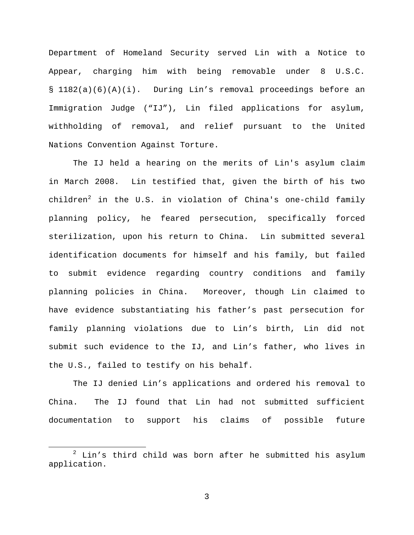Department of Homeland Security served Lin with a Notice to Appear, charging him with being removable under 8 U.S.C. § 1182(a)(6)(A)(i). During Lin's removal proceedings before an Immigration Judge ("IJ"), Lin filed applications for asylum, withholding of removal, and relief pursuant to the United Nations Convention Against Torture.

The IJ held a hearing on the merits of Lin's asylum claim in March 2008. Lin testified that, given the birth of his two children<sup>[2](#page-2-0)</sup> in the U.S. in violation of China's one-child family planning policy, he feared persecution, specifically forced sterilization, upon his return to China. Lin submitted several identification documents for himself and his family, but failed to submit evidence regarding country conditions and family planning policies in China. Moreover, though Lin claimed to have evidence substantiating his father's past persecution for family planning violations due to Lin's birth, Lin did not submit such evidence to the IJ, and Lin's father, who lives in the U.S., failed to testify on his behalf.

The IJ denied Lin's applications and ordered his removal to China. The IJ found that Lin had not submitted sufficient documentation to support his claims of possible future

 $\overline{a}$ 

<span id="page-2-0"></span> $2$  Lin's third child was born after he submitted his asylum application.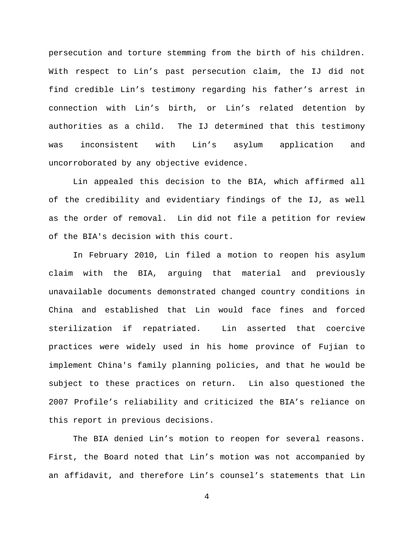persecution and torture stemming from the birth of his children. With respect to Lin's past persecution claim, the IJ did not find credible Lin's testimony regarding his father's arrest in connection with Lin's birth, or Lin's related detention by authorities as a child. The IJ determined that this testimony was inconsistent with Lin's asylum application and uncorroborated by any objective evidence.

Lin appealed this decision to the BIA, which affirmed all of the credibility and evidentiary findings of the IJ, as well as the order of removal. Lin did not file a petition for review of the BIA's decision with this court.

In February 2010, Lin filed a motion to reopen his asylum claim with the BIA, arguing that material and previously unavailable documents demonstrated changed country conditions in China and established that Lin would face fines and forced sterilization if repatriated. Lin asserted that coercive practices were widely used in his home province of Fujian to implement China's family planning policies, and that he would be subject to these practices on return. Lin also questioned the 2007 Profile's reliability and criticized the BIA's reliance on this report in previous decisions.

The BIA denied Lin's motion to reopen for several reasons. First, the Board noted that Lin's motion was not accompanied by an affidavit, and therefore Lin's counsel's statements that Lin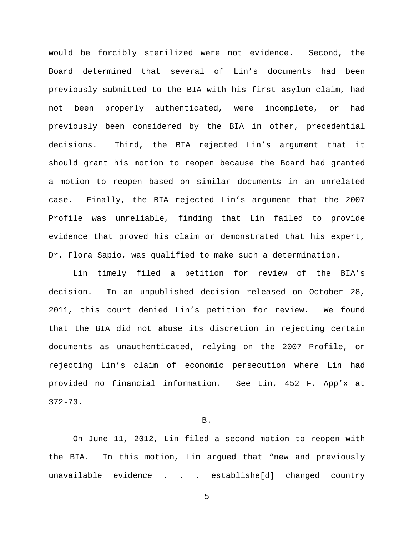would be forcibly sterilized were not evidence. Second, the Board determined that several of Lin's documents had been previously submitted to the BIA with his first asylum claim, had not been properly authenticated, were incomplete, or had previously been considered by the BIA in other, precedential decisions. Third, the BIA rejected Lin's argument that it should grant his motion to reopen because the Board had granted a motion to reopen based on similar documents in an unrelated case. Finally, the BIA rejected Lin's argument that the 2007 Profile was unreliable, finding that Lin failed to provide evidence that proved his claim or demonstrated that his expert, Dr. Flora Sapio, was qualified to make such a determination.

Lin timely filed a petition for review of the BIA's decision. In an unpublished decision released on October 28, 2011, this court denied Lin's petition for review. We found that the BIA did not abuse its discretion in rejecting certain documents as unauthenticated, relying on the 2007 Profile, or rejecting Lin's claim of economic persecution where Lin had provided no financial information. See Lin, 452 F. App'x at 372-73.

## B.

On June 11, 2012, Lin filed a second motion to reopen with the BIA. In this motion, Lin argued that "new and previously unavailable evidence . . . establishe[d] changed country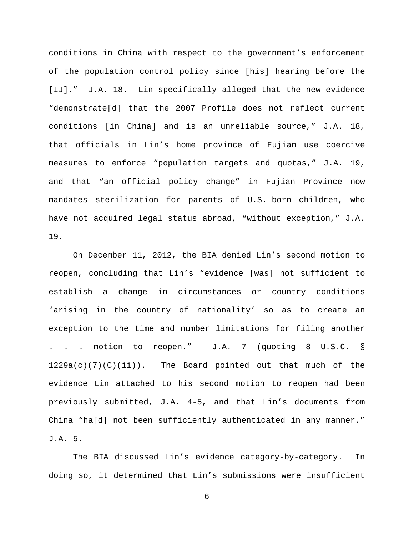conditions in China with respect to the government's enforcement of the population control policy since [his] hearing before the [IJ]." J.A. 18. Lin specifically alleged that the new evidence "demonstrate[d] that the 2007 Profile does not reflect current conditions [in China] and is an unreliable source," J.A. 18, that officials in Lin's home province of Fujian use coercive measures to enforce "population targets and quotas," J.A. 19, and that "an official policy change" in Fujian Province now mandates sterilization for parents of U.S.-born children, who have not acquired legal status abroad, "without exception," J.A. 19.

On December 11, 2012, the BIA denied Lin's second motion to reopen, concluding that Lin's "evidence [was] not sufficient to establish a change in circumstances or country conditions 'arising in the country of nationality' so as to create an exception to the time and number limitations for filing another . . . motion to reopen." J.A. 7 (quoting 8 U.S.C. §  $1229a(c)(7)(c)(ii)$ . The Board pointed out that much of the evidence Lin attached to his second motion to reopen had been previously submitted, J.A. 4-5, and that Lin's documents from China "ha[d] not been sufficiently authenticated in any manner." J.A. 5.

The BIA discussed Lin's evidence category-by-category. In doing so, it determined that Lin's submissions were insufficient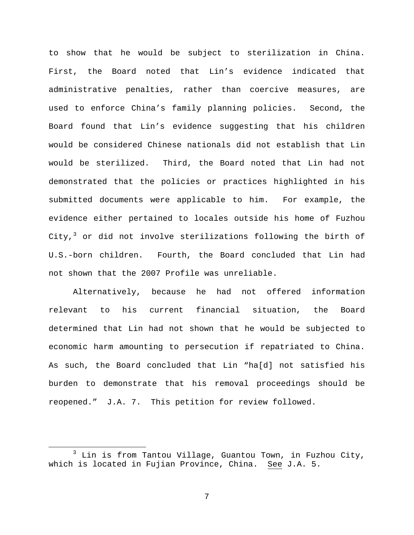to show that he would be subject to sterilization in China. First, the Board noted that Lin's evidence indicated that administrative penalties, rather than coercive measures, are used to enforce China's family planning policies. Second, the Board found that Lin's evidence suggesting that his children would be considered Chinese nationals did not establish that Lin would be sterilized. Third, the Board noted that Lin had not demonstrated that the policies or practices highlighted in his submitted documents were applicable to him. For example, the evidence either pertained to locales outside his home of Fuzhou City, $3$  or did not involve sterilizations following the birth of U.S.-born children. Fourth, the Board concluded that Lin had not shown that the 2007 Profile was unreliable.

Alternatively, because he had not offered information relevant to his current financial situation, the Board determined that Lin had not shown that he would be subjected to economic harm amounting to persecution if repatriated to China. As such, the Board concluded that Lin "ha[d] not satisfied his burden to demonstrate that his removal proceedings should be reopened." J.A. 7. This petition for review followed.

 $\overline{a}$ 

<span id="page-6-0"></span> $3$  Lin is from Tantou Village, Guantou Town, in Fuzhou City, which is located in Fujian Province, China. See J.A. 5.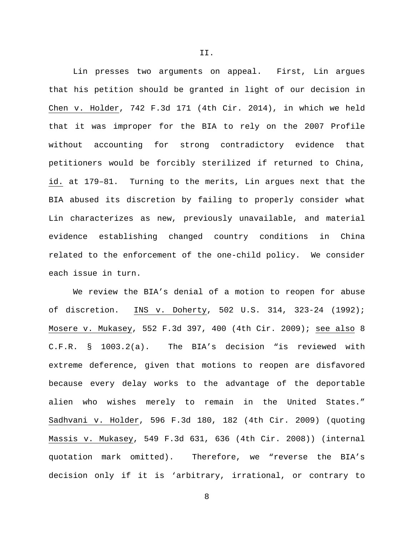Lin presses two arguments on appeal. First, Lin argues that his petition should be granted in light of our decision in Chen v. Holder, 742 F.3d 171 (4th Cir. 2014), in which we held that it was improper for the BIA to rely on the 2007 Profile without accounting for strong contradictory evidence that petitioners would be forcibly sterilized if returned to China, id. at 179–81. Turning to the merits, Lin argues next that the BIA abused its discretion by failing to properly consider what Lin characterizes as new, previously unavailable, and material evidence establishing changed country conditions in China related to the enforcement of the one-child policy. We consider each issue in turn.

We review the BIA's denial of a motion to reopen for abuse of discretion. INS v. Doherty, 502 U.S. 314, 323-24 (1992); Mosere v. Mukasey, 552 F.3d 397, 400 (4th Cir. 2009); see also 8 C.F.R. § 1003.2(a). The BIA's decision "is reviewed with extreme deference, given that motions to reopen are disfavored because every delay works to the advantage of the deportable alien who wishes merely to remain in the United States." Sadhvani v. Holder, 596 F.3d 180, 182 (4th Cir. 2009) (quoting Massis v. Mukasey, 549 F.3d 631, 636 (4th Cir. 2008)) (internal quotation mark omitted). Therefore, we "reverse the BIA's decision only if it is 'arbitrary, irrational, or contrary to

8

II.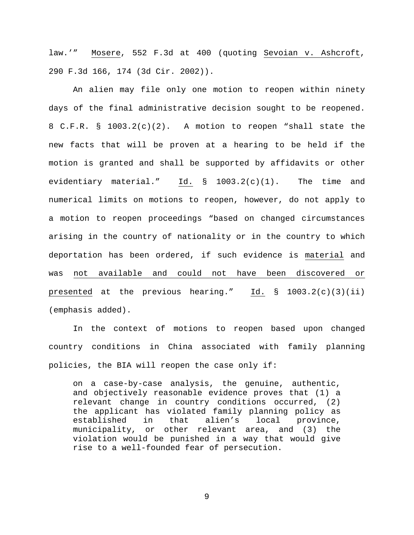law.'" Mosere, 552 F.3d at 400 (quoting Sevoian v. Ashcroft, 290 F.3d 166, 174 (3d Cir. 2002)).

An alien may file only one motion to reopen within ninety days of the final administrative decision sought to be reopened. 8 C.F.R. § 1003.2(c)(2). A motion to reopen "shall state the new facts that will be proven at a hearing to be held if the motion is granted and shall be supported by affidavits or other evidentiary material." Id. § 1003.2(c)(1). The time and numerical limits on motions to reopen, however, do not apply to a motion to reopen proceedings "based on changed circumstances arising in the country of nationality or in the country to which deportation has been ordered, if such evidence is material and was not available and could not have been discovered or presented at the previous hearing."  $\underline{Id.}$  § 1003.2(c)(3)(ii) (emphasis added).

In the context of motions to reopen based upon changed country conditions in China associated with family planning policies, the BIA will reopen the case only if:

on a case-by-case analysis, the genuine, authentic, and objectively reasonable evidence proves that (1) a relevant change in country conditions occurred, (2) the applicant has violated family planning policy as<br>established in that alien's local province, that alien's local province, municipality, or other relevant area, and (3) the violation would be punished in a way that would give rise to a well-founded fear of persecution.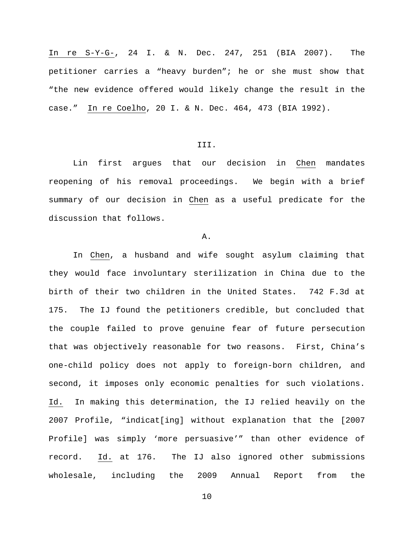In re S-Y-G-, 24 I. & N. Dec. 247, 251 (BIA 2007). The petitioner carries a "heavy burden"; he or she must show that "the new evidence offered would likely change the result in the case." In re Coelho, 20 I. & N. Dec. 464, 473 (BIA 1992).

## III.

Lin first argues that our decision in Chen mandates reopening of his removal proceedings. We begin with a brief summary of our decision in Chen as a useful predicate for the discussion that follows.

### A.

In Chen, a husband and wife sought asylum claiming that they would face involuntary sterilization in China due to the birth of their two children in the United States. 742 F.3d at 175. The IJ found the petitioners credible, but concluded that the couple failed to prove genuine fear of future persecution that was objectively reasonable for two reasons. First, China's one-child policy does not apply to foreign-born children, and second, it imposes only economic penalties for such violations. Id. In making this determination, the IJ relied heavily on the 2007 Profile, "indicat[ing] without explanation that the [2007 Profile] was simply 'more persuasive'" than other evidence of record. Id. at 176. The IJ also ignored other submissions wholesale, including the 2009 Annual Report from the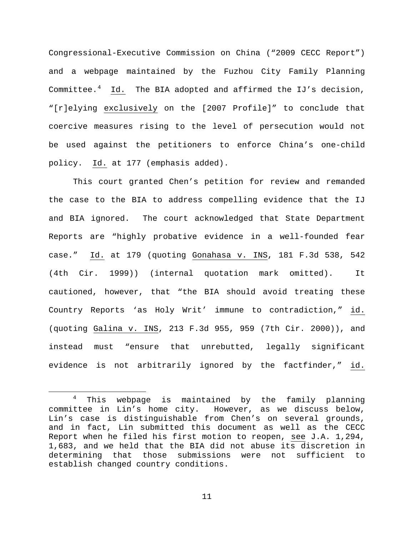Congressional-Executive Commission on China ("2009 CECC Report") and a webpage maintained by the Fuzhou City Family Planning Committee.<sup>[4](#page-10-0)</sup> Id. The BIA adopted and affirmed the IJ's decision, "[r]elying exclusively on the [2007 Profile]" to conclude that coercive measures rising to the level of persecution would not be used against the petitioners to enforce China's one-child policy. Id. at 177 (emphasis added).

This court granted Chen's petition for review and remanded the case to the BIA to address compelling evidence that the IJ and BIA ignored. The court acknowledged that State Department Reports are "highly probative evidence in a well-founded fear case." Id. at 179 (quoting Gonahasa v. INS, 181 F.3d 538, 542 (4th Cir. 1999)) (internal quotation mark omitted). It cautioned, however, that "the BIA should avoid treating these Country Reports 'as Holy Writ' immune to contradiction," id. (quoting Galina v. INS, 213 F.3d 955, 959 (7th Cir. 2000)), and instead must "ensure that unrebutted, legally significant evidence is not arbitrarily ignored by the factfinder," id.

 $\overline{a}$ 

<span id="page-10-0"></span><sup>&</sup>lt;sup>4</sup> This webpage is maintained by the family planning committee in Lin's home city. However, as we discuss below, However, as we discuss below, Lin's case is distinguishable from Chen's on several grounds, and in fact, Lin submitted this document as well as the CECC Report when he filed his first motion to reopen, see J.A. 1,294, 1,683, and we held that the BIA did not abuse its discretion in determining that those submissions were not sufficient to establish changed country conditions.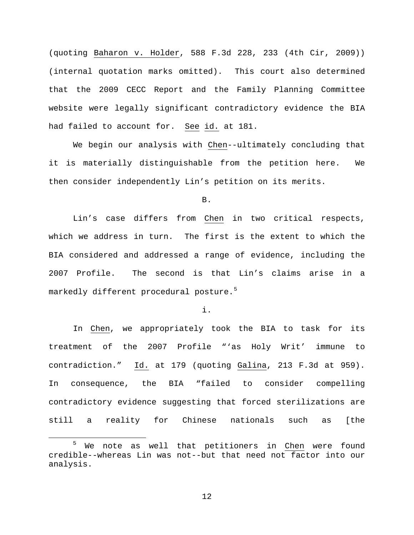(quoting Baharon v. Holder, 588 F.3d 228, 233 (4th Cir, 2009)) (internal quotation marks omitted). This court also determined that the 2009 CECC Report and the Family Planning Committee website were legally significant contradictory evidence the BIA had failed to account for. See id. at 181.

We begin our analysis with Chen--ultimately concluding that it is materially distinguishable from the petition here. We then consider independently Lin's petition on its merits.

B.

Lin's case differs from Chen in two critical respects, which we address in turn. The first is the extent to which the BIA considered and addressed a range of evidence, including the 2007 Profile. The second is that Lin's claims arise in a markedly different procedural posture.<sup>[5](#page-11-0)</sup>

i.

In Chen, we appropriately took the BIA to task for its treatment of the 2007 Profile "'as Holy Writ' immune to contradiction." Id. at 179 (quoting Galina, 213 F.3d at 959). In consequence, the BIA "failed to consider compelling contradictory evidence suggesting that forced sterilizations are still a reality for Chinese nationals such as [the

 $\overline{a}$ 

<span id="page-11-0"></span><sup>&</sup>lt;sup>5</sup> We note as well that petitioners in Chen were found credible--whereas Lin was not--but that need not factor into our analysis.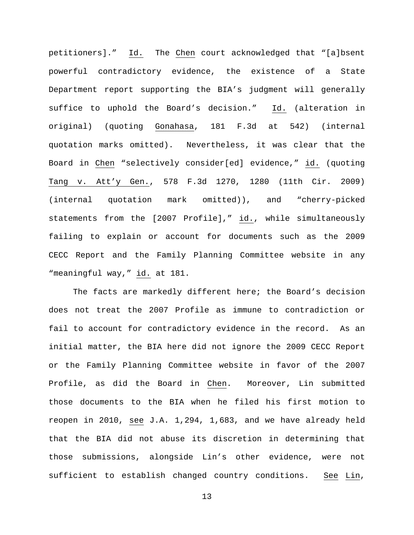petitioners]." Id. The Chen court acknowledged that "[a]bsent powerful contradictory evidence, the existence of a State Department report supporting the BIA's judgment will generally suffice to uphold the Board's decision." Id. (alteration in original) (quoting Gonahasa, 181 F.3d at 542) (internal quotation marks omitted). Nevertheless, it was clear that the Board in Chen "selectively consider[ed] evidence," id. (quoting Tang v. Att'y Gen., 578 F.3d 1270, 1280 (11th Cir. 2009) (internal quotation mark omitted)), and "cherry-picked statements from the [2007 Profile]," id., while simultaneously failing to explain or account for documents such as the 2009 CECC Report and the Family Planning Committee website in any "meaningful way," id. at 181.

The facts are markedly different here; the Board's decision does not treat the 2007 Profile as immune to contradiction or fail to account for contradictory evidence in the record. As an initial matter, the BIA here did not ignore the 2009 CECC Report or the Family Planning Committee website in favor of the 2007 Profile, as did the Board in Chen. Moreover, Lin submitted those documents to the BIA when he filed his first motion to reopen in 2010, see J.A. 1,294, 1,683, and we have already held that the BIA did not abuse its discretion in determining that those submissions, alongside Lin's other evidence, were not sufficient to establish changed country conditions. See Lin,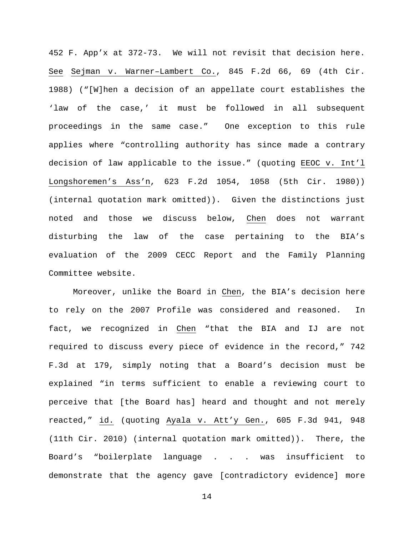452 F. App'x at 372-73. We will not revisit that decision here. See Sejman v. Warner–Lambert Co., 845 F.2d 66, 69 (4th Cir. 1988) ("[W]hen a decision of an appellate court establishes the 'law of the case,' it must be followed in all subsequent proceedings in the same case." One exception to this rule applies where "controlling authority has since made a contrary decision of law applicable to the issue." (quoting EEOC v. Int'l Longshoremen's Ass'n, 623 F.2d 1054, 1058 (5th Cir. 1980)) (internal quotation mark omitted)). Given the distinctions just noted and those we discuss below, Chen does not warrant disturbing the law of the case pertaining to the BIA's evaluation of the 2009 CECC Report and the Family Planning Committee website.

Moreover, unlike the Board in Chen, the BIA's decision here to rely on the 2007 Profile was considered and reasoned. In fact, we recognized in Chen "that the BIA and IJ are not required to discuss every piece of evidence in the record," 742 F.3d at 179, simply noting that a Board's decision must be explained "in terms sufficient to enable a reviewing court to perceive that [the Board has] heard and thought and not merely reacted," id. (quoting Ayala v. Att'y Gen., 605 F.3d 941, 948 (11th Cir. 2010) (internal quotation mark omitted)). There, the Board's "boilerplate language . . . was insufficient to demonstrate that the agency gave [contradictory evidence] more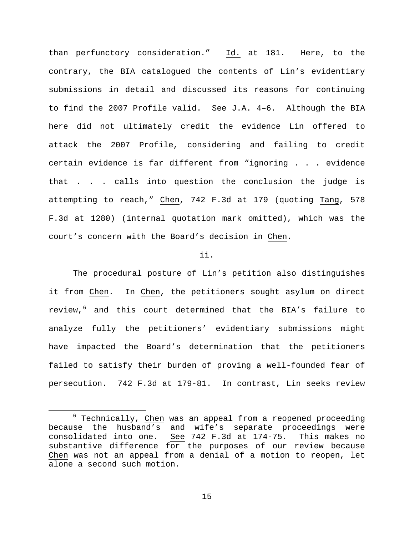than perfunctory consideration." Id. at 181. Here, to the contrary, the BIA catalogued the contents of Lin's evidentiary submissions in detail and discussed its reasons for continuing to find the 2007 Profile valid. See J.A. 4–6. Although the BIA here did not ultimately credit the evidence Lin offered to attack the 2007 Profile, considering and failing to credit certain evidence is far different from "ignoring . . . evidence that . . . calls into question the conclusion the judge is attempting to reach," Chen, 742 F.3d at 179 (quoting Tang, 578 F.3d at 1280) (internal quotation mark omitted), which was the court's concern with the Board's decision in Chen.

## ii.

The procedural posture of Lin's petition also distinguishes it from Chen. In Chen, the petitioners sought asylum on direct review,<sup>[6](#page-14-0)</sup> and this court determined that the BIA's failure to analyze fully the petitioners' evidentiary submissions might have impacted the Board's determination that the petitioners failed to satisfy their burden of proving a well-founded fear of persecution. 742 F.3d at 179-81. In contrast, Lin seeks review

 $\overline{a}$ 

<span id="page-14-0"></span> $6$  Technically, Chen was an appeal from a reopened proceeding because the husband's and wife's separate proceedings were consolidated into one. See 742 F.3d at 174-75. This makes no substantive difference for the purposes of our review because Chen was not an appeal from a denial of a motion to reopen, let alone a second such motion.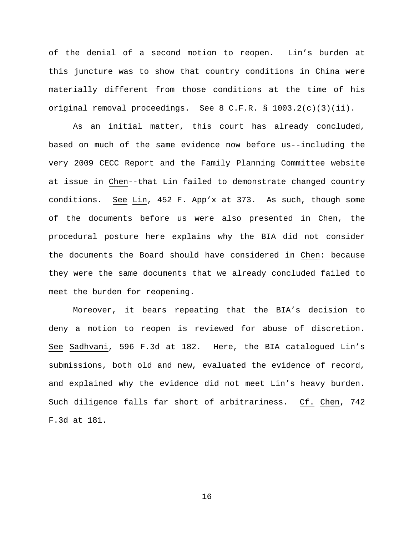of the denial of a second motion to reopen. Lin's burden at this juncture was to show that country conditions in China were materially different from those conditions at the time of his original removal proceedings. See 8 C.F.R. § 1003.2(c)(3)(ii).

As an initial matter, this court has already concluded, based on much of the same evidence now before us--including the very 2009 CECC Report and the Family Planning Committee website at issue in Chen--that Lin failed to demonstrate changed country conditions. See Lin, 452 F. App'x at 373. As such, though some of the documents before us were also presented in Chen, the procedural posture here explains why the BIA did not consider the documents the Board should have considered in Chen: because they were the same documents that we already concluded failed to meet the burden for reopening.

Moreover, it bears repeating that the BIA's decision to deny a motion to reopen is reviewed for abuse of discretion. See Sadhvani, 596 F.3d at 182. Here, the BIA catalogued Lin's submissions, both old and new, evaluated the evidence of record, and explained why the evidence did not meet Lin's heavy burden. Such diligence falls far short of arbitrariness. Cf. Chen, 742 F.3d at 181.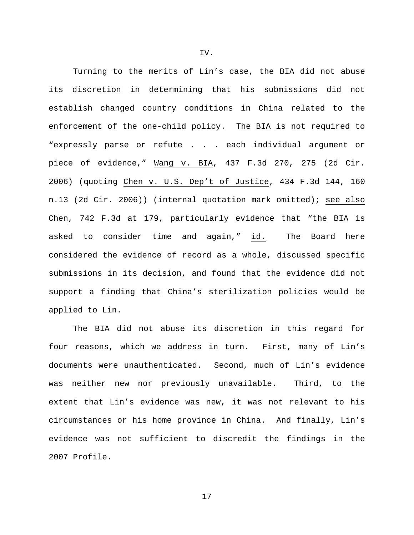Turning to the merits of Lin's case, the BIA did not abuse its discretion in determining that his submissions did not establish changed country conditions in China related to the enforcement of the one-child policy. The BIA is not required to "expressly parse or refute . . . each individual argument or piece of evidence," Wang v. BIA, 437 F.3d 270, 275 (2d Cir. 2006) (quoting Chen v. U.S. Dep't of Justice, 434 F.3d 144, 160 n.13 (2d Cir. 2006)) (internal quotation mark omitted); see also Chen, 742 F.3d at 179, particularly evidence that "the BIA is asked to consider time and again," id. The Board here considered the evidence of record as a whole, discussed specific submissions in its decision, and found that the evidence did not support a finding that China's sterilization policies would be applied to Lin.

The BIA did not abuse its discretion in this regard for four reasons, which we address in turn. First, many of Lin's documents were unauthenticated. Second, much of Lin's evidence was neither new nor previously unavailable. Third, to the extent that Lin's evidence was new, it was not relevant to his circumstances or his home province in China. And finally, Lin's evidence was not sufficient to discredit the findings in the 2007 Profile.

IV.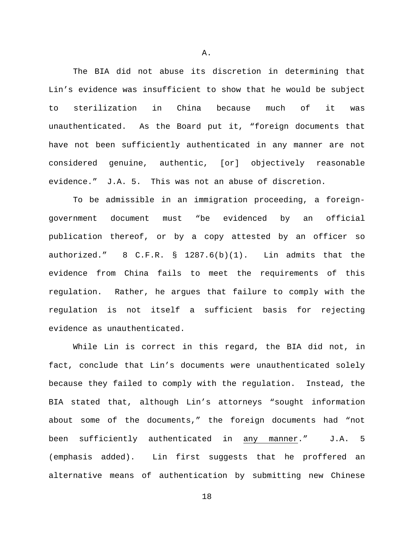The BIA did not abuse its discretion in determining that Lin's evidence was insufficient to show that he would be subject to sterilization in China because much of it was unauthenticated. As the Board put it, "foreign documents that have not been sufficiently authenticated in any manner are not considered genuine, authentic, [or] objectively reasonable evidence." J.A. 5. This was not an abuse of discretion.

To be admissible in an immigration proceeding, a foreigngovernment document must "be evidenced by an official publication thereof, or by a copy attested by an officer so authorized." 8 C.F.R. § 1287.6(b)(1). Lin admits that the evidence from China fails to meet the requirements of this regulation. Rather, he argues that failure to comply with the regulation is not itself a sufficient basis for rejecting evidence as unauthenticated.

While Lin is correct in this regard, the BIA did not, in fact, conclude that Lin's documents were unauthenticated solely because they failed to comply with the regulation. Instead, the BIA stated that, although Lin's attorneys "sought information about some of the documents," the foreign documents had "not been sufficiently authenticated in any manner." J.A. 5 (emphasis added). Lin first suggests that he proffered an alternative means of authentication by submitting new Chinese

A.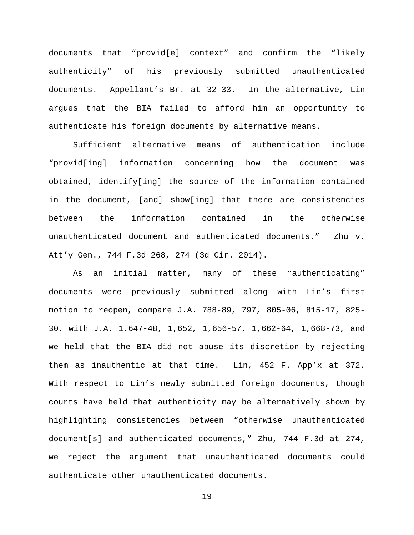documents that "provid[e] context" and confirm the "likely authenticity" of his previously submitted unauthenticated documents. Appellant's Br. at 32-33. In the alternative, Lin argues that the BIA failed to afford him an opportunity to authenticate his foreign documents by alternative means.

Sufficient alternative means of authentication include "provid[ing] information concerning how the document was obtained, identify[ing] the source of the information contained in the document, [and] show[ing] that there are consistencies between the information contained in the otherwise unauthenticated document and authenticated documents." Zhu v. Att'y Gen., 744 F.3d 268, 274 (3d Cir. 2014).

As an initial matter, many of these "authenticating" documents were previously submitted along with Lin's first motion to reopen, compare J.A. 788-89, 797, 805-06, 815-17, 825- 30, with J.A. 1,647-48, 1,652, 1,656-57, 1,662-64, 1,668-73, and we held that the BIA did not abuse its discretion by rejecting them as inauthentic at that time. Lin, 452 F. App'x at 372. With respect to Lin's newly submitted foreign documents, though courts have held that authenticity may be alternatively shown by highlighting consistencies between "otherwise unauthenticated document[s] and authenticated documents," Zhu, 744 F.3d at 274, we reject the argument that unauthenticated documents could authenticate other unauthenticated documents.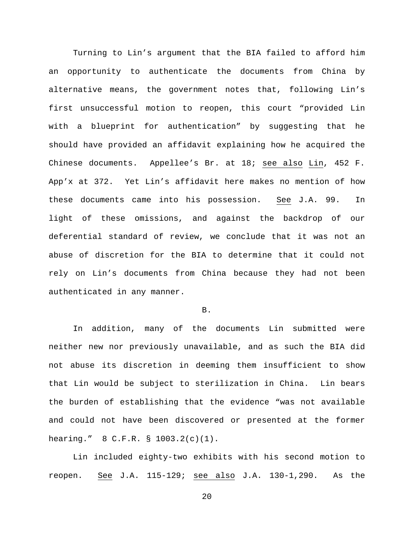Turning to Lin's argument that the BIA failed to afford him an opportunity to authenticate the documents from China by alternative means, the government notes that, following Lin's first unsuccessful motion to reopen, this court "provided Lin with a blueprint for authentication" by suggesting that he should have provided an affidavit explaining how he acquired the Chinese documents. Appellee's Br. at 18; see also Lin, 452 F. App'x at 372. Yet Lin's affidavit here makes no mention of how these documents came into his possession. See J.A. 99. In light of these omissions, and against the backdrop of our deferential standard of review, we conclude that it was not an abuse of discretion for the BIA to determine that it could not rely on Lin's documents from China because they had not been authenticated in any manner.

#### B.

In addition, many of the documents Lin submitted were neither new nor previously unavailable, and as such the BIA did not abuse its discretion in deeming them insufficient to show that Lin would be subject to sterilization in China. Lin bears the burden of establishing that the evidence "was not available and could not have been discovered or presented at the former hearing." 8 C.F.R. § 1003.2(c)(1).

Lin included eighty-two exhibits with his second motion to reopen. See J.A. 115-129; see also J.A. 130-1,290. As the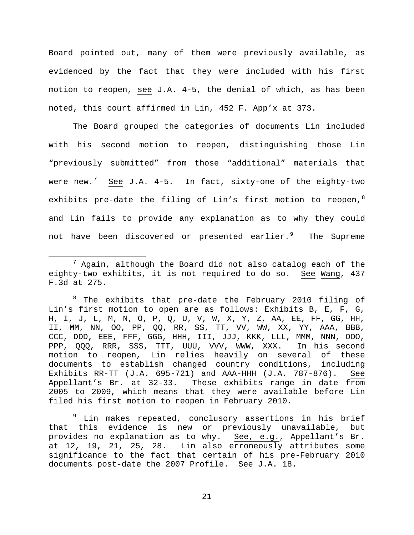Board pointed out, many of them were previously available, as evidenced by the fact that they were included with his first motion to reopen, see J.A. 4-5, the denial of which, as has been noted, this court affirmed in Lin, 452 F. App'x at 373.

The Board grouped the categories of documents Lin included with his second motion to reopen, distinguishing those Lin "previously submitted" from those "additional" materials that were new. $^7$  $^7$   $\,$   $\rm{See}$  J.A. 4-5. In fact,  $\rm{sixty\mbox{-}one}$  of the eighty-two exhibits pre-date the filing of Lin's first motion to reopen,  $8$ and Lin fails to provide any explanation as to why they could not have been discovered or presented earlier. $^9$  $^9$  The Supreme

 $\overline{a}$ 

<span id="page-20-1"></span><sup>8</sup> The exhibits that pre-date the February 2010 filing of Lin's first motion to open are as follows: Exhibits B, E, F, G, H, I, J, L, M, N, O, P, Q, U, V, W, X, Y, Z, AA, EE, FF, GG, HH, II, MM, NN, OO, PP, QQ, RR, SS, TT, VV, WW, XX, YY, AAA, BBB, CCC, DDD, EEE, FFF, GGG, HHH, III, JJJ, KKK, LLL, MMM, NNN, OOO, PPP, QQQ, RRR, SSS, TTT, UUU, VVV, WWW, XXX. In his second motion to reopen, Lin relies heavily on several of these documents to establish changed country conditions, including Exhibits RR-TT (J.A. 695-721) and AAA-HHH (J.A. 787-876). See Appellant's Br. at 32-33. These exhibits range in date from 2005 to 2009, which means that they were available before Lin filed his first motion to reopen in February 2010.

<span id="page-20-2"></span><sup>9</sup> Lin makes repeated, conclusory assertions in his brief that this evidence is new or previously unavailable, but provides no explanation as to why. See, e.g., Appellant's Br. at 12, 19, 21, 25, 28. Lin also erroneously attributes some significance to the fact that certain of his pre-February 2010 documents post-date the 2007 Profile. See J.A. 18.

<span id="page-20-0"></span> $7$  Again, although the Board did not also catalog each of the eighty-two exhibits, it is not required to do so. See Wang, 437 F.3d at 275.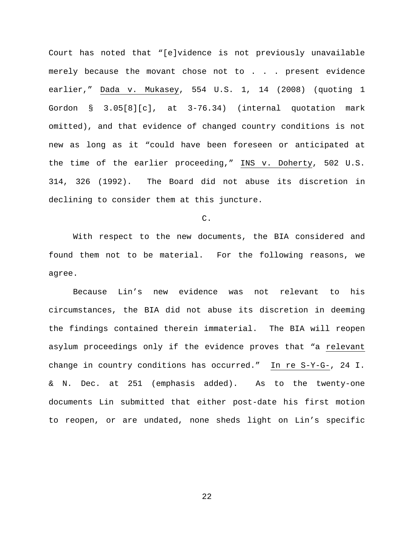Court has noted that "[e]vidence is not previously unavailable merely because the movant chose not to . . . present evidence earlier," Dada v. Mukasey, 554 U.S. 1, 14 (2008) (quoting 1 Gordon § 3.05[8][c], at 3-76.34) (internal quotation mark omitted), and that evidence of changed country conditions is not new as long as it "could have been foreseen or anticipated at the time of the earlier proceeding," INS v. Doherty, 502 U.S. 314, 326 (1992). The Board did not abuse its discretion in declining to consider them at this juncture.

C.

With respect to the new documents, the BIA considered and found them not to be material. For the following reasons, we agree.

Because Lin's new evidence was not relevant to his circumstances, the BIA did not abuse its discretion in deeming the findings contained therein immaterial. The BIA will reopen asylum proceedings only if the evidence proves that "a relevant change in country conditions has occurred." In re S-Y-G-, 24 I. & N. Dec. at 251 (emphasis added). As to the twenty-one documents Lin submitted that either post-date his first motion to reopen, or are undated, none sheds light on Lin's specific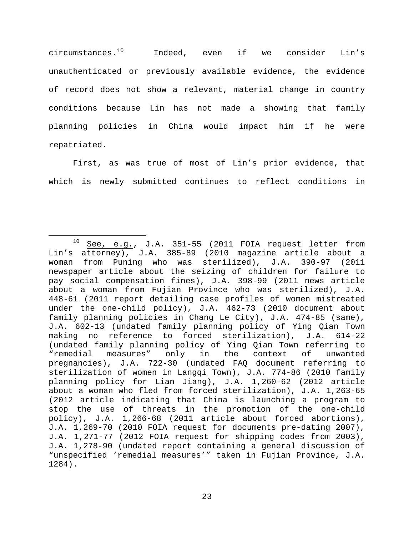circumstances. $^{10}$  Indeed, even if we consider Lin's unauthenticated or previously available evidence, the evidence of record does not show a relevant, material change in country conditions because Lin has not made a showing that family planning policies in China would impact him if he were repatriated.

First, as was true of most of Lin's prior evidence, that which is newly submitted continues to reflect conditions in

<span id="page-22-0"></span> $\overline{a}$ <sup>10</sup> See, e.g., J.A. 351-55 (2011 FOIA request letter from Lin's attorney), J.A. 385-89 (2010 magazine article about a woman from Puning who was sterilized), J.A. 390-97 (2011 newspaper article about the seizing of children for failure to pay social compensation fines), J.A. 398-99 (2011 news article about a woman from Fujian Province who was sterilized), J.A. 448-61 (2011 report detailing case profiles of women mistreated under the one-child policy), J.A. 462-73 (2010 document about family planning policies in Chang Le City), J.A. 474-85 (same), J.A. 602-13 (undated family planning policy of Ying Qian Town making no reference to forced sterilization), J.A. 614-22 (undated family planning policy of Ying Qian Town referring to the context of unwanted pregnancies), J.A. 722-30 (undated FAQ document referring to sterilization of women in Langqi Town), J.A. 774-86 (2010 family planning policy for Lian Jiang), J.A. 1,260-62 (2012 article about a woman who fled from forced sterilization), J.A. 1,263-65 (2012 article indicating that China is launching a program to stop the use of threats in the promotion of the one-child policy), J.A. 1,266-68 (2011 article about forced abortions), J.A. 1,269-70 (2010 FOIA request for documents pre-dating 2007), J.A. 1,271-77 (2012 FOIA request for shipping codes from 2003), J.A. 1,278-90 (undated report containing a general discussion of "unspecified 'remedial measures'" taken in Fujian Province, J.A. 1284).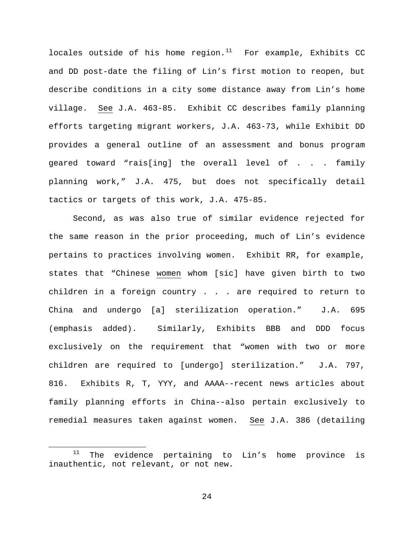locales outside of his home region. $11$  For example, Exhibits CC and DD post-date the filing of Lin's first motion to reopen, but describe conditions in a city some distance away from Lin's home village. See J.A. 463-85. Exhibit CC describes family planning efforts targeting migrant workers, J.A. 463-73, while Exhibit DD provides a general outline of an assessment and bonus program geared toward "rais[ing] the overall level of . . . family planning work," J.A. 475, but does not specifically detail tactics or targets of this work, J.A. 475-85.

Second, as was also true of similar evidence rejected for the same reason in the prior proceeding, much of Lin's evidence pertains to practices involving women. Exhibit RR, for example, states that "Chinese women whom [sic] have given birth to two children in a foreign country . . . are required to return to China and undergo [a] sterilization operation." J.A. 695 (emphasis added). Similarly, Exhibits BBB and DDD focus exclusively on the requirement that "women with two or more children are required to [undergo] sterilization." J.A. 797, 816. Exhibits R, T, YYY, and AAAA--recent news articles about family planning efforts in China--also pertain exclusively to remedial measures taken against women. See J.A. 386 (detailing

 $\overline{a}$ 

<span id="page-23-0"></span> $11$  The evidence pertaining to Lin's home province is inauthentic, not relevant, or not new.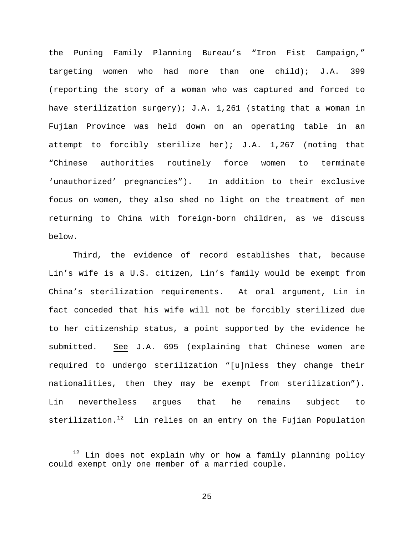the Puning Family Planning Bureau's "Iron Fist Campaign," targeting women who had more than one child); J.A. 399 (reporting the story of a woman who was captured and forced to have sterilization surgery); J.A. 1,261 (stating that a woman in Fujian Province was held down on an operating table in an attempt to forcibly sterilize her); J.A. 1,267 (noting that "Chinese authorities routinely force women to terminate 'unauthorized' pregnancies"). In addition to their exclusive focus on women, they also shed no light on the treatment of men returning to China with foreign-born children, as we discuss below.

Third, the evidence of record establishes that, because Lin's wife is a U.S. citizen, Lin's family would be exempt from China's sterilization requirements. At oral argument, Lin in fact conceded that his wife will not be forcibly sterilized due to her citizenship status, a point supported by the evidence he submitted. See J.A. 695 (explaining that Chinese women are required to undergo sterilization "[u]nless they change their nationalities, then they may be exempt from sterilization"). Lin nevertheless argues that he remains subject to sterilization.<sup>[12](#page-24-0)</sup> Lin relies on an entry on the Fujian Population

 $\overline{a}$ 

<span id="page-24-0"></span> $12$  Lin does not explain why or how a family planning policy could exempt only one member of a married couple.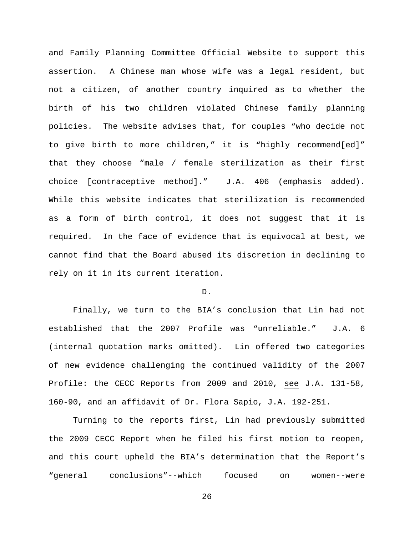and Family Planning Committee Official Website to support this assertion. A Chinese man whose wife was a legal resident, but not a citizen, of another country inquired as to whether the birth of his two children violated Chinese family planning policies. The website advises that, for couples "who decide not to give birth to more children," it is "highly recommend[ed]" that they choose "male / female sterilization as their first choice [contraceptive method]." J.A. 406 (emphasis added). While this website indicates that sterilization is recommended as a form of birth control, it does not suggest that it is required. In the face of evidence that is equivocal at best, we cannot find that the Board abused its discretion in declining to rely on it in its current iteration.

# D.

Finally, we turn to the BIA's conclusion that Lin had not established that the 2007 Profile was "unreliable." J.A. 6 (internal quotation marks omitted). Lin offered two categories of new evidence challenging the continued validity of the 2007 Profile: the CECC Reports from 2009 and 2010, see J.A. 131-58, 160-90, and an affidavit of Dr. Flora Sapio, J.A. 192-251.

Turning to the reports first, Lin had previously submitted the 2009 CECC Report when he filed his first motion to reopen, and this court upheld the BIA's determination that the Report's "general conclusions"--which focused on women--were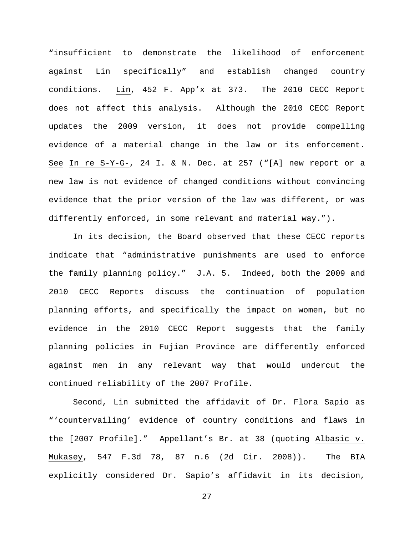"insufficient to demonstrate the likelihood of enforcement against Lin specifically" and establish changed country conditions. Lin, 452 F. App'x at 373. The 2010 CECC Report does not affect this analysis. Although the 2010 CECC Report updates the 2009 version, it does not provide compelling evidence of a material change in the law or its enforcement. See In re S-Y-G-, 24 I. & N. Dec. at 257 ("[A] new report or a new law is not evidence of changed conditions without convincing evidence that the prior version of the law was different, or was differently enforced, in some relevant and material way.").

In its decision, the Board observed that these CECC reports indicate that "administrative punishments are used to enforce the family planning policy." J.A. 5. Indeed, both the 2009 and 2010 CECC Reports discuss the continuation of population planning efforts, and specifically the impact on women, but no evidence in the 2010 CECC Report suggests that the family planning policies in Fujian Province are differently enforced against men in any relevant way that would undercut the continued reliability of the 2007 Profile.

Second, Lin submitted the affidavit of Dr. Flora Sapio as "'countervailing' evidence of country conditions and flaws in the [2007 Profile]." Appellant's Br. at 38 (quoting Albasic v. Mukasey, 547 F.3d 78, 87 n.6 (2d Cir. 2008)). The BIA explicitly considered Dr. Sapio's affidavit in its decision,